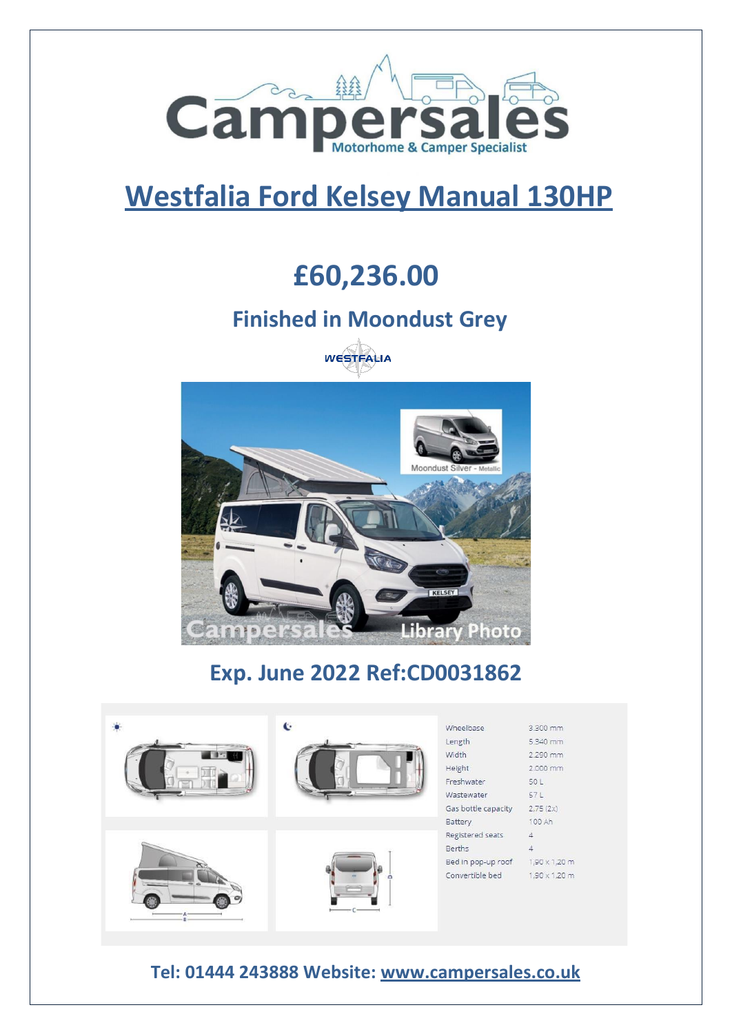

# **Westfalia Ford Kelsey Manual 130HP**

## **£60,236.00**

### **Finished in Moondust Grey**





## **Exp. June 2022 Ref:CD0031862**

![](_page_0_Picture_7.jpeg)

#### **Tel: 01444 243888 Website: [www.campersales.co.uk](http://www.campersales.co.uk/)**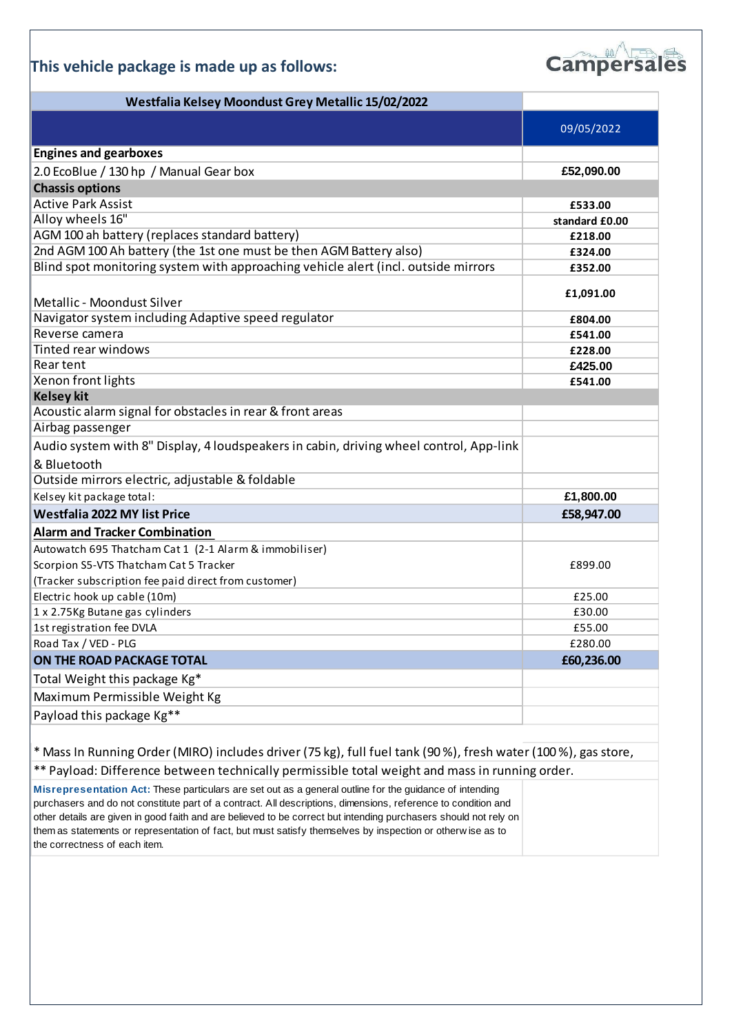#### **This vehicle package is made up as follows:**

![](_page_1_Picture_1.jpeg)

| Westfalia Kelsey Moondust Grey Metallic 15/02/2022                                                           |                |
|--------------------------------------------------------------------------------------------------------------|----------------|
|                                                                                                              | 09/05/2022     |
| <b>Engines and gearboxes</b>                                                                                 |                |
|                                                                                                              |                |
| 2.0 EcoBlue / 130 hp / Manual Gear box                                                                       | £52,090.00     |
| <b>Chassis options</b>                                                                                       |                |
| <b>Active Park Assist</b>                                                                                    | £533.00        |
| Alloy wheels 16"                                                                                             | standard £0.00 |
| AGM 100 ah battery (replaces standard battery)                                                               | £218.00        |
| 2nd AGM 100 Ah battery (the 1st one must be then AGM Battery also)                                           | £324.00        |
| Blind spot monitoring system with approaching vehicle alert (incl. outside mirrors                           | £352.00        |
| Metallic - Moondust Silver                                                                                   | £1,091.00      |
| Navigator system including Adaptive speed regulator                                                          | £804.00        |
| Reverse camera                                                                                               | £541.00        |
| Tinted rear windows                                                                                          | £228.00        |
| Rear tent                                                                                                    | £425.00        |
| Xenon front lights                                                                                           | £541.00        |
| <b>Kelsey kit</b>                                                                                            |                |
| Acoustic alarm signal for obstacles in rear & front areas                                                    |                |
| Airbag passenger                                                                                             |                |
| Audio system with 8" Display, 4 loudspeakers in cabin, driving wheel control, App-link                       |                |
| & Bluetooth                                                                                                  |                |
| Outside mirrors electric, adjustable & foldable                                                              |                |
| Kelsey kit package total:                                                                                    | £1,800.00      |
| <b>Westfalia 2022 MY list Price</b>                                                                          | £58,947.00     |
| <b>Alarm and Tracker Combination</b>                                                                         |                |
| Autowatch 695 Thatcham Cat 1 (2-1 Alarm & immobiliser)                                                       |                |
| Scorpion S5-VTS Thatcham Cat 5 Tracker                                                                       | £899.00        |
| (Tracker subscription fee paid direct from customer)                                                         |                |
| Electric hook up cable (10m)                                                                                 | £25.00         |
| 1 x 2.75Kg Butane gas cylinders                                                                              | £30.00         |
| 1st registration fee DVLA                                                                                    | £55.00         |
| Road Tax / VED - PLG                                                                                         | £280.00        |
| ON THE ROAD PACKAGE TOTAL                                                                                    | £60,236.00     |
| Total Weight this package Kg*                                                                                |                |
| Maximum Permissible Weight Kg                                                                                |                |
| Payload this package Kg**                                                                                    |                |
|                                                                                                              |                |
| * Mass In Running Order (MIRO) includes driver (75 kg), full fuel tank (90%), fresh water (100%), gas store, |                |
| ** Payload: Difference between technically permissible total weight and mass in running order.               |                |
| Misrepresentation Act: These particulars are set out as a general outline for the guidance of intending      |                |
| re and do not constitute part of a contract. All descriptions, dimensions, reference to condition and        |                |

purchasers and do not constitute part of a contract. All descriptions, dimensions, reference to condition and other details are given in good faith and are believed to be correct but intending purchasers should not rely on them as statements or representation of fact, but must satisfy themselves by inspection or otherw ise as to the correctness of each item.